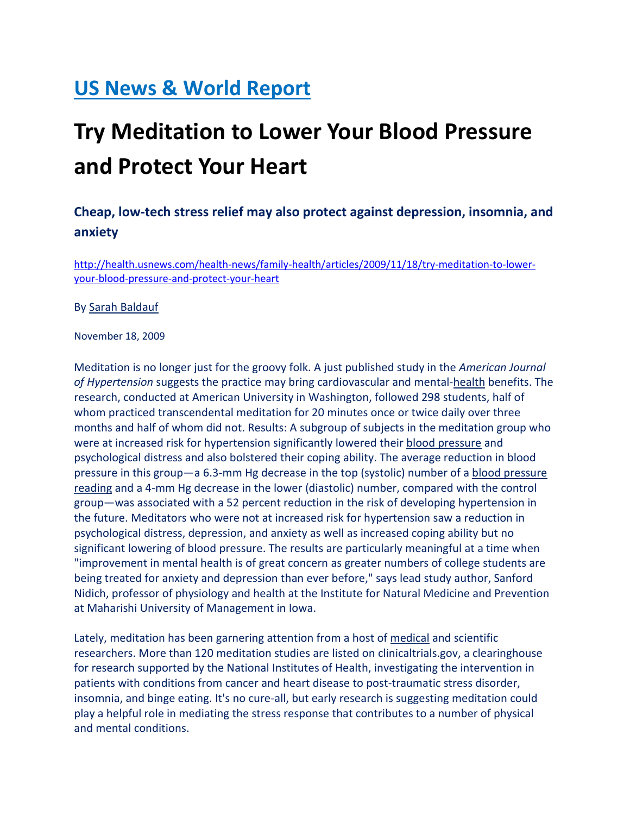## US News & World Report

## Try Meditation to Lower Your Blood Pressure and Protect Your Heart

## Cheap, low-tech stress relief may also protect against depression, insomnia, and anxiety

http://health.usnews.com/health-news/family-health/articles/2009/11/18/try-meditation-to-loweryour-blood-pressure-and-protect-your-heart

By Sarah Baldauf

November 18, 2009

Meditation is no longer just for the groovy folk. A just published study in the American Journal of Hypertension suggests the practice may bring cardiovascular and mental-health benefits. The research, conducted at American University in Washington, followed 298 students, half of whom practiced transcendental meditation for 20 minutes once or twice daily over three months and half of whom did not. Results: A subgroup of subjects in the meditation group who were at increased risk for hypertension significantly lowered their blood pressure and psychological distress and also bolstered their coping ability. The average reduction in blood pressure in this group—a 6.3-mm Hg decrease in the top (systolic) number of a blood pressure reading and a 4-mm Hg decrease in the lower (diastolic) number, compared with the control group—was associated with a 52 percent reduction in the risk of developing hypertension in the future. Meditators who were not at increased risk for hypertension saw a reduction in psychological distress, depression, and anxiety as well as increased coping ability but no significant lowering of blood pressure. The results are particularly meaningful at a time when "improvement in mental health is of great concern as greater numbers of college students are being treated for anxiety and depression than ever before," says lead study author, Sanford Nidich, professor of physiology and health at the Institute for Natural Medicine and Prevention at Maharishi University of Management in Iowa.

Lately, meditation has been garnering attention from a host of medical and scientific researchers. More than 120 meditation studies are listed on clinicaltrials.gov, a clearinghouse for research supported by the National Institutes of Health, investigating the intervention in patients with conditions from cancer and heart disease to post-traumatic stress disorder, insomnia, and binge eating. It's no cure-all, but early research is suggesting meditation could play a helpful role in mediating the stress response that contributes to a number of physical and mental conditions.